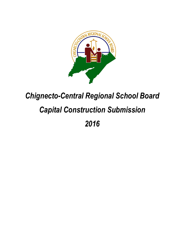

# *Chignecto-Central Regional School Board Capital Construction Submission*

# *2016*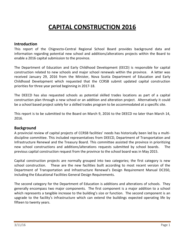## **CAPITAL CONSTRUCTION 2016**

#### **Introduction**

This report of the Chignecto-Central Regional School Board provides background data and information regarding potential new school and additions/alterations projects within the Board to enable a 2016 capital submission to the province.

The Department of Education and Early Childhood Development (EECD) is responsible for capital construction related to new schools and major school renewals within the province. A letter was received January 29, 2016 from the Minister, Nova Scotia Department of Education and Early Childhood Development which requested that the CCRSB submit updated capital construction priorities for three year period beginning in 2017-18.

The DEECD has also requested schools as potential skilled trades locations as part of a capital construction plan through a new school or an addition and alteration project. Alternatively it could be a school based project solely for a skilled trades program to be accommodated at a specific site.

This report is to be submitted to the Board on March 9, 2016 to the DEECD no later than March 14, 2016.

#### **Background**

A provincial review of capital projects of CCRSB facilities' needs has historically been led by a multidiscipline committee. This included representatives from DEECD, Department of Transportation and Infrastructure Renewal and the Treasury Board. This committee assisted the province in prioritizing new school constructions and additions/alterations requests submitted by school boards. The previous capital construction request from the province to the school board was in May 2015.

Capital construction projects are normally grouped into two categories; the first category is new school construction. These are the new facilities built according to most recent version of the Department of Transportation and Infrastructure Renewal's Design Requirement Manual DC350, including the Educational Facilities General Design Requirements.

The second category for the Department of Education is additions and alterations of schools. They generally encompass two major components. The first component is a major addition to a school which represents a tangible increase to the building's size or function. The second component is an upgrade to the facility's infrastructure which can extend the buildings expected operating life by fifteen to twenty years.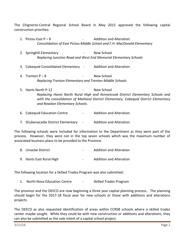The Chignecto-Central Regional School Board in May 2015 approved the following capital construction priorities:

- 1. Pictou East  $P 8$   $\qquad \qquad -$  Addition and Alteration *Consolidation of East Pictou Middle School and F.H. MacDonald Elementary*
- 2. Springhill Elementary **Fig. 2.** New School *Replacing Junction Road and West End Memorial Elementary Schools*
- 3. Cobequid Consolidated Elementary Addition and Alteration
- 4. Trenton P 8 and 1 New School *Replacing Trenton Elementary and Trenton Middle Schools*
- 5. Hants North P-12 **19 Contains 10 Contains 10 Contains 10 Contains 10 Contains 10 Contains 10 Contains 10 Contains 10 Contains 10 Contains 10 Contains 10 Contains 10 Contains 10 Contains 10 Contains 10 Contains 10 Contai** *Replacing Hants North Rural High and Kennetcook District Elementary Schools and with the consolidation of Maitland District Elementary, Cobequid District Elementary and Rawdon Elementary Schools.*
- 6. Cobequid Education Centre  **Addition and Alteration**
- 7. Shubenacadie District Elementary Addition and Alteration

The following schools were included for information to the Department as they were part of the process. However, they were not in the top seven schools which was the maximum number of associated business plans to be provided to the Province.

- 8. Uniacke District **Addition and Alteration**
- 9. Hants East Rural High Theorem 2014 High Addition and Alteration

The following location for a Skilled Trades Program was also submitted:

1. North Nova Education Centre **- Skilled Trades Program** 

The province and the DEECD are now beginning a three year capital planning process. The planning should begin for the 2017-18 fiscal year for new schools or those with additions and alterations projects.

The DEECD as also requested identification of areas within CCRSB schools where a skilled trades center maybe sought. While they could be with new construction or additions and alterations, they can also be submitted as the sole intent of a capital school project.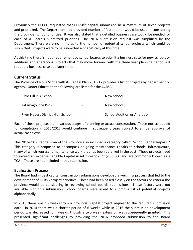Previously the DEECD requested that CCRSB's capital submission be a maximum of seven projects and prioritized. The Department had provided number of factors that would be used in considering the provincial school priorities. It was also stated that a detailed business case would be needed for each of a Board's submitted priorities. The 2016 submission request was simplified by the Department. There were no limits as to the number of potential school projects which could be submitted. Projects were to be submitted alphabetically at this time.

At this time there is not a requirement by school boards to submit a business case for new schools or additions and alterations. Projects that may move forward with the three year planning period will require a business case at a later time.

#### **Current Status**

The Province of Nova Scotia with its Capital Plan 2016-17 provides a list of projects by department or agency. Under Education the following are listed for the CCRSB:

| Bible Hill P-4 School             |                          | New School                           |
|-----------------------------------|--------------------------|--------------------------------------|
| Tatamagouche P-12                 |                          | New School                           |
| River Hebert District High School | $\overline{\phantom{0}}$ | <b>School Addition or Alteration</b> |

Each of these projects are in various stages of planning or actual construction. Those not scheduled for completion in 2016/2017 would continue in subsequent years subject to annual approval of actual cash flows.

The 2016-2017 Capital Plan of the Province also included a category called "School Capital Repairs." This category is proposed to encompass on-going maintenance repairs to schools' infrastructure, many of which represent maintenance work that has been deferred in the past. These projects need to exceed an expense Tangible Capital Asset threshold of \$150,000 and are commonly known as a TCA. These are not included in this submission.

#### **Evaluation Process**

The Board had in past capital construction submissions developed a weighing process that led to the development of CCRSB project priorities. These had been based closely on the factors or criteria the province would be considering in reviewing school boards submissions. These factors were not available with this submission. School boards were asked to submit a list of potential projects alphabetically.

In 2013 there was 13 weeks from a provincial capital project request to the required submission date. In 2014 there was a shorter period of 6 weeks while in 2016 the submission development period was decreased to 4 weeks, though a two week extension was subsequently granted. This presented significant challenges to providing the 2016 proposed submission to the Board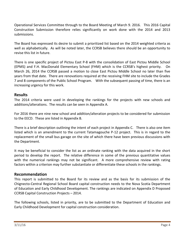Operational Services Committee through to the Board Meeting of March 9. 2016. This 2016 Capital Construction Submission therefore relies significantly on work done with the 2014 and 2013 submissions.

The Board has expressed its desire to submit a prioritized list based on the 2014 weighted criteria as well as alphabetically. As will be noted later, the CCRSB believes there should be an opportunity to revise this list in future.

There is one specific project of Pictou East P-8 with the consolidation of East Pictou Middle School (EPMS) and F.H. MacDonald Elementary School (FHM) which is the CCRSB's highest priority. On March 26, 2014 the CCRSB passed a motion to close East Pictou Middle School no later than five years from that date. There are renovations required at the receiving FHM site to include the Grades 7 and 8 components of the Public School Program. With the subsequent passing of time, there is an increasing urgency for this work.

#### **Results**

The 2014 criteria were used in developing the rankings for the projects with new schools and additions/alterations. The results can be seen in Appendix A.

For 2016 there are nine new school and addition/alteration projects to be considered for submission to the EECD. These are listed in Appendix B.

There is a brief description outlining the intent of each project in Appendix C. There is also one item listed which is an amendment to the current Tatamagouche P-12 project. This is in regard to the replacement of the small bus garage on the site of which there have been previous discussions with the Department.

It may be beneficial to consider the list as an ordinate ranking with the data acquired in the short period to develop the report. The relative difference in some of the previous quantitative values with the numerical rankings may not be significant. A more comprehensive review with rating factors within a criterion may further substantiate or differentiate these schools in the rankings.

#### **Recommendation**

This report is submitted to the Board for its review and as the basis for its submission of the Chignecto-Central Regional School Board capital construction needs to the Nova Scotia Department of Education and Early Childhood Development. The rankings are indicated on Appendix D Proposed CCRSB Capital Construction Projects – 2014.

The following schools, listed in priority, are to be submitted to the Department of Education and Early Childhood Development for capital construction consideration.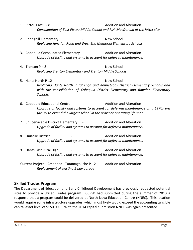- 1. Pictou East P 8 Addition and Alteration *Consolidation of East Pictou Middle School and F.H. MacDonald at the latter site.*
- 2. Springhill Elementary **2. Springhill Elementary 1. All 2. Second Princes** Rew School *Replacing Junction Road and West End Memorial Elementary Schools.*
- 3. Cobequid Consolidated Elementary Addition and Alteration *Upgrade of facility and systems to account for deferred maintenance*.
- 4. Trenton P 8 and 1 New School *Replacing Trenton Elementary and Trenton Middle Schools.*
- 5. Hants North P-12  **And Account P-12** Alex School *Replacing Hants North Rural High and Kennetcook District Elementary Schools and with the consolidation of Cobequid District Elementary and Rawdon Elementary Schools.*
- 6. Cobequid Educational Centre Addition and Alteration *Upgrade of facility and systems to account for deferred maintenance on a 1970s era facility to extend the largest school in the province operating life span.*
- 7. Shubenacadie District Elementary Addition and Alteration *Upgrade of facility and systems to account for deferred maintenance.*
- 8. Uniacke District **Addition** and Alteration *Upgrade of facility and systems to account for deferred maintenance.*
- 9. Hants East Rural High The State of Addition and Alteration *Upgrade of facility and systems to account for deferred maintenance.*

Current Project – Amended - Tatamagouche P-12 Addition and Alteration *Replacement of existing 2 bay garage*

#### **Skilled Trades Program**

The Department of Education and Early Childhood Development has previously requested potential sites to provide a Skilled Trades program. CCRSB had submitted during the summer of 2013 a response that a program could be delivered at North Nova Education Centre (NNEC). This location would require some infrastructure upgrades, which most likely would exceed the accounting tangible capital asset level of \$150,000. With the 2014 capital submission NNEC was again presented.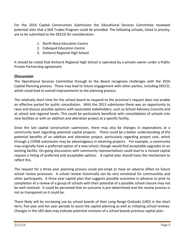For the 2016 Capital Construction Submission the Educational Services Committee reviewed potential sites that a Skill Trades Program could be provided. The following schools, listed in priority, are to be submitted to the DEECD for consideration:

- 1. North Nova Education Centre
- 2. Cobequid Education Centre
- 3. Amherst Regional High School

It should be noted that Amherst Regional High School is operated by a private owner under a Public Private Partnership agreement.

#### **Discussion**

The Operational Services Committee through to the Board recognizes challenges with the 2016 Capital Planning process. These may lead to future engagement with other parties, including DEECD, which could lead to overall improvements to the planning process.

The relatively short time for the school board to respond to the province's request does not enable an effective period for public consultation. With the 2013 submission there was an opportunity to raise and discuss possible options with associated stakeholders, such as School Advisory Councils and at school and regional levels. This could be particularly beneficial with consolidation of schools into new facilities or with an addition and alteration project at a specific facility.

Since the last capital construction submission, there may also be changes in expectations at a community level regarding potential capital projects. There could be a better understanding of the potential benefits of an addition and alteration project, particularly regarding project cost, which through a CCRSB submission may be advantageous in attaining projects. For example, a community may originally have a preferred option of a new school, though would find acceptable upgrades to an existing facility. On-going discussions with community representatives could lead to a revised capital request a listing of preferred and acceptable options. A capital plan should have the mechanism to reflect this.

The request for a three year planning process could pre-empt or have an adverse effect on future school review processes. A school review historically can be very emotional for communities and other participants. A three year capital plan that suggests possible outcomes in advance or prior to completion of a review of a group of schools with their potential of a possible school closure may not be well received. It could be perceived that an outcome is pre-determined and the review process is not as transparent as it could be.

There likely will be increasing use by school boards of their Long Range Outlooks (LRO) in the short term, five year and ten year periods to assist the capital planning as well as initiating school reviews. Changes in the LRO data may indicate potential revisions of a school boards previous capital plan.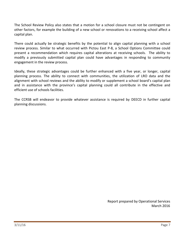The School Review Policy also states that a motion for a school closure must not be contingent on other factors, for example the building of a new school or renovations to a receiving school affect a capital plan.

There could actually be strategic benefits by the potential to align capital planning with a school review process. Similar to what occurred with Pictou East P-8, a School Options Committee could present a recommendation which requires capital alterations at receiving schools. The ability to modify a previously submitted capital plan could have advantages in responding to community engagement in the review process.

Ideally, these strategic advantages could be further enhanced with a five year, or longer, capital planning process. The ability to connect with communities, the utilization of LRO data and the alignment with school reviews and the ability to modify or supplement a school board's capital plan and in assistance with the province's capital planning could all contribute in the effective and efficient use of schools facilities.

The CCRSB will endeavor to provide whatever assistance is required by DEECD in further capital planning discussions.

> Report prepared by Operational Services March 2016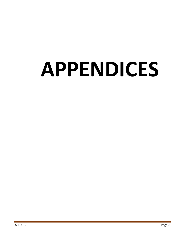# **APPENDICES**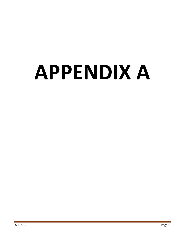# **APPENDIX A**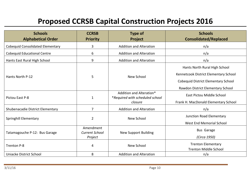## **Proposed CCRSB Capital Construction Projects 2016**

| <b>Schools</b><br><b>Alphabetical Order</b> | <b>CCRSB</b><br><b>Priority</b>               | <b>Type of</b><br>Project                                              | <b>Schools</b><br><b>Consolidated/Replaced</b>                                                                                                            |
|---------------------------------------------|-----------------------------------------------|------------------------------------------------------------------------|-----------------------------------------------------------------------------------------------------------------------------------------------------------|
| <b>Cobequid Consolidated Elementary</b>     | 3                                             | <b>Addition and Alteration</b>                                         | n/a                                                                                                                                                       |
| <b>Cobequid Educational Centre</b>          | 6                                             | <b>Addition and Alteration</b>                                         | n/a                                                                                                                                                       |
| Hants East Rural High School                | 9                                             | <b>Addition and Alteration</b>                                         | n/a                                                                                                                                                       |
| Hants North P-12                            | 5                                             | <b>New School</b>                                                      | Hants North Rural High School<br>Kennetcook District Elementary School<br><b>Cobequid District Elementary School</b><br>Rawdon District Elementary School |
| Pictou East P-8                             | $\mathbf{1}$                                  | Addition and Alteration*<br>*Required with scheduled school<br>closure | East Pictou Middle School<br>Frank H. MacDonald Elementary School                                                                                         |
| Shubenacadie District Elementary            | $\overline{7}$                                | <b>Addition and Alteration</b>                                         | n/a                                                                                                                                                       |
| Springhill Elementary                       | $\overline{2}$                                | New School                                                             | Junction Road Elementary<br><b>West End Memorial School</b>                                                                                               |
| Tatamagouche P-12: Bus Garage               | Amendment<br><b>Current School</b><br>Project | <b>New Support Building</b>                                            | <b>Bus Garage</b><br>(Circa 1950)                                                                                                                         |
| Trenton P-8                                 | 4                                             | New School                                                             | <b>Trenton Elementary</b><br><b>Trenton Middle School</b>                                                                                                 |
| Uniacke District School                     | 8                                             | <b>Addition and Alteration</b><br>n/a                                  |                                                                                                                                                           |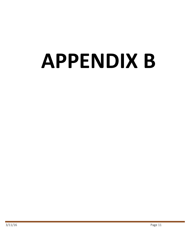# **APPENDIX B**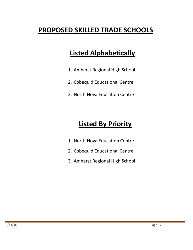## **PROPOSED SKILLED TRADE SCHOOLS**

## **Listed Alphabetically**

- 1. Amherst Regional High School
- 2. Cobequid Educational Centre
- 3. North Nova Education Centre

## **Listed By Priority**

- 1. North Nova Education Centre
- 2. Cobequid Educational Centre
- 3. Amherst Regional High School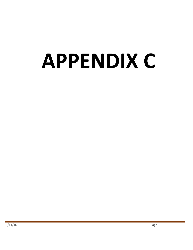# **APPENDIX C**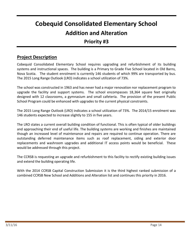## **Cobequid Consolidated Elementary School Addition and Alteration Priority #3**

#### **Project Description**

Cobequid Consolidated Elementary School requires upgrading and refurbishment of its building systems and instructional spaces. The building is a Primary to Grade Five School located in Old Barns, Nova Scotia. The student enrolment is currently 146 students of which 99% are transported by bus. The 2015 Long Range Outlook (LRO) indicates a school utilization of 73%.

The school was constructed in 1963 and has never had a major renovation nor replacement program to upgrade the facility and support systems. The school encompasses 18,364 square feet originally designed with 12 classrooms, a gymnasium and small cafeteria. The provision of the present Public School Program could be enhanced with upgrades to the current physical constraints.

The 2015 Long Range Outlook (LRO) indicates a school utilization of 73%. The 2014/15 enrolment was 146 students expected to increase slightly to 155 in five years.

The LRO states a current overall building condition of functional. This is often typical of older buildings and approaching their end of useful life. The building systems are working and finishes are maintained though an increased level of maintenance and repairs are required to continue operation. There are outstanding deferred maintenance items such as roof replacement, siding and exterior door replacements and washroom upgrades and additional IT access points would be beneficial. These would be addressed through this project.

The CCRSB is requesting an upgrade and refurbishment to this facility to rectify existing building issues and extend the building operating life.

With the 2014 CCRSB Capital Construction Submission it is the third highest ranked submission of a combined CCRSB New School and Additions and Alteration list and continues this priority in 2016.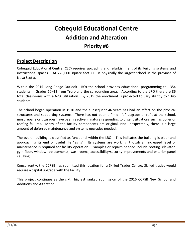## **Cobequid Educational Centre Addition and Alteration Priority #6**

#### **Project Description**

Cobequid Educational Centre (CEC) requires upgrading and refurbishment of its building systems and instructional spaces. At 228,000 square feet CEC is physically the largest school in the province of Nova Scotia.

Within the 2015 Long Range Outlook (LRO) the school provides educational programming to 1354 students in Grades 10–12 from Truro and the surrounding area. According to the LRO there are 86 total classrooms with a 62% utilization. By 2019 the enrolment is projected to vary slightly to 1345 students.

The school began operation in 1970 and the subsequent 46 years has had an effect on the physical structures and supporting systems. There has not been a "mid-life" upgrade or refit at the school, most repairs or upgrades have been reactive in nature responding to urgent situations such as boiler or roofing failures. Many of the facility components are original. Not unexpectedly, there is a large amount of deferred maintenance and systems upgrades needed.

The overall building is classified as functional within the LRO. This indicates the building is older and approaching its end of useful life "as is". Its systems are working, though an increased level of maintenance is required for facility operation. Examples or repairs needed include roofing, elevator, gym floor, window replacements, washrooms, accessibility/security improvements and exterior panel caulking.

Concurrently, the CCRSB has submitted this location for a Skilled Trades Centre. Skilled trades would require a capital upgrade with the facility.

This project continues as the sixth highest ranked submission of the 2016 CCRSB New School and Additions and Alteration.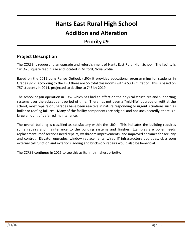## **Hants East Rural High School Addition and Alteration**

#### **Priority #9**

#### **Project Description**

The CCRSB is requesting an upgrade and refurbishment of Hants East Rural High School. The facility is 141,428 square feet in size and located in Milford, Nova Scotia.

Based on the 2015 Long Range Outlook (LRO) it provides educational programming for students in Grades 9-12. According to the LRO there are 56 total classrooms with a 53% utilization. This is based on 757 students in 2014, projected to decline to 743 by 2019.

The school began operation in 1957 which has had an effect on the physical structures and supporting systems over the subsequent period of time. There has not been a "mid-life" upgrade or refit at the school, most repairs or upgrades have been reactive in nature responding to urgent situations such as boiler or roofing failures. Many of the facility components are original and not unexpectedly, there is a large amount of deferred maintenance.

The overall building is classified as satisfactory within the LRO. This indicates the building requires some repairs and maintenance to the building systems and finishes. Examples are boiler needs replacement, roof sections need repairs, washroom improvements, and improved entrance for security and control. Elevator upgrades, window replacements, wired IT infrastructure upgrades**,** classroom external call function and exterior cladding and brickwork repairs would also be beneficial.

The CCRSB continues in 2016 to see this as its ninth highest priority.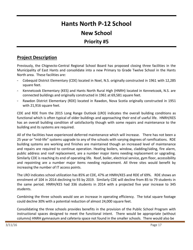## **Hants North P-12 School**

### **New School**

#### **Priority #5**

#### **Project Description**

Previously, the Chignecto-Central Regional School Board has proposed closing three facilities in the Municipality of East Hants and consolidate into a new Primary to Grade Twelve School in the Hants North area. These facilities are:

- Cobequid District Elementary (CDE) located in Noel, N.S. originally constructed in 1961 with 12,285 square feet.
- Kennetcook Elementary (KES) and Hants North Rural High (HNRH) located in Kennetcook, N.S. are connected buildings and originally constructed in 1961 at 69,581 square feet.
- Rawdon District Elementary (RDE) located in Rawdon, Nova Scotia originally constructed in 1951 with 21,916 square feet.

CDE and RDE from the 2015 Long Range Outlook (LRO) indicates the overall building conditions as functional which is often typical of older buildings and approaching their end of useful life. HNRH/KES has an overall building condition of satisfactorily though with some repairs and maintenance to the building and its systems are required.

All of the facilities have experienced deferred maintenance which will increase. There has not been a 25 year or "mid-life" systems upgrade to any of the schools with varying degrees of ramifications. RDE building systems are working and finishes are maintained though an increased level of maintenance and repairs are required to continue operation. Heating boilers, window, cladding/siding, fire alarm, public address and roof replacement, are a number major items needing replacement or upgrading. Similarly CDE is reaching its end of operating life. Roof, boiler, electrical service, gym floor, accessibility and repointing are a number major items needing replacement. All three sites would benefit by increasing the number of IT access points.

The LRO indicates school utilization has 85% at CDE, 47% at HNRH/KES and RDE of 69%. RDE shows an enrolment of 104 in 2014 declining to 93 by 2019. Similarly CDE will decline from 85 to 79 students in the same period. HNRH/KES had 336 students in 2014 with a projected five year increase to 345 students.

Combining the three schools would see an increase in operating efficiency. The total square footage could decline 30% with a potential reduction of almost 24,000 square feet.

Consolidating the three schools provides benefits in the provision of the Public School Program with instructional spaces designed to meet the functional intent. There would be appropriate (without columns) HNRH gymnasium and cafeteria space not found in the smaller schools. There would also be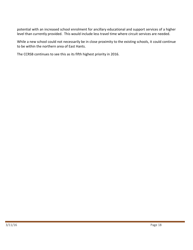potential with an increased school enrolment for ancillary educational and support services of a higher level than currently provided. This would include less travel time where circuit services are needed.

While a new school could not necessarily be in close proximity to the existing schools, it could continue to be within the northern area of East Hants.

The CCRSB continues to see this as its fifth highest priority in 2016.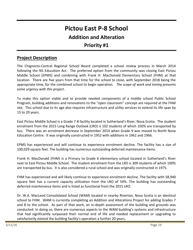## **Pictou East P-8 School Addition and Alteration Priority #1**

#### **Project Description**

The Chignecto-Central Regional School Board completed a school review process in March 2014 following the NS Education Act. The preferred option from the community was closing East Pictou Middle School (EPMS) and combining with Frank H. MacDonald Elementary School (FHM) at that location. There are five years from that time for the school to close, with September 2018 being the appropriate time, for the combined school to begin operation. *The scope of work and timing presents some urgency with this project*.

To make this option viable and to provide needed components of a middle school Public School Program, building additions and renovations to the "open classroom" concept are required at the FHM site. This school due to its age also requires infrastructure and utility services to extend its life span by 15 to 20 years.

East Pictou Middle School is a Grade 7-8 facility located in Sutherland's River, Nova Scotia. The student enrolment from the 2015 Long Range Outlook (LRO) is 102 students of which 100% are transported by bus. There was an enrolment decrease in September 2014 when Grade 9 was moved to North Nova Education Centre. It was originally constructed in 1952 with additions in 1962 and 1966.

EPMS has experienced and will continue to experience enrolment decline. The facility has a size of 100,029 square feet. The building has numerous outstanding deferred maintenance items.

Frank H. MacDonald (FHM) is a Primary to Grade 6 elementary school located in Sutherland's River next to East Pictou Middle School. The student enrolment from the LRO is 309 students of which 100% are transported by bus. It is also considered a rural school and was originally constructed in 1975.

FHM has experienced and will likely continue to experience enrolment decline. The facility with 58,940 square feet has a current capacity utilization from the LRO of 59%. The building has outstanding deferred maintenance items and is listed as functional from the 2015 LRO.

Dr. W.A. MacLeod Consolidated School (WAM) located in nearby Riverton, Nova Scotia is an identical school to FHM. WAM is currently completing an Addition and Alterations Project for adding Grades 7 and 8 to the school. As part of that work, an in-depth assessment of the building and grounds was conducted. In doing so, there are numerous aspects to the WAM building's systems and infrastructure that had significantly surpassed their normal end of life and needed replacement or upgrading to satisfactorily extend the building facility's operation a further 20 years.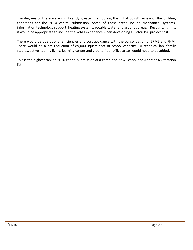The degrees of these were significantly greater than during the initial CCRSB review of the building conditions for the 2014 capital submission. Some of these areas include mechanical systems, information technology support, heating systems, potable water and grounds areas. Recognizing this, it would be appropriate to include the WAM experience when developing a Pictou P-8 project cost.

There would be operational efficiencies and cost avoidance with the consolidation of EPMS and FHM. There would be a net reduction of 89,000 square feet of school capacity. A technical lab, family studies, active healthy living, learning center and ground floor office areas would need to be added.

This is the highest ranked 2016 capital submission of a combined New School and Additions/Alteration list.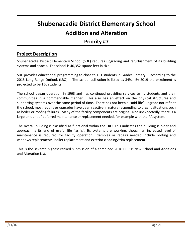## **Shubenacadie District Elementary School Addition and Alteration Priority #7**

#### **Project Description**

Shubenacadie District Elementary School (SDE) requires upgrading and refurbishment of its building systems and spaces. The school is 40,352 square feet in size.

SDE provides educational programming to close to 151 students in Grades Primary–5 according to the 2015 Long Range Outlook (LRO). The school utilization is listed as 34%. By 2019 the enrolment is projected to be 156 students.

The school began operation in 1963 and has continued providing services to its students and their communities in a commendable manner. This also has an effect on the physical structures and supporting systems over the same period of time. There has not been a "mid-life" upgrade nor refit at the school, most repairs or upgrades have been reactive in nature responding to urgent situations such as boiler or roofing failures. Many of the facility components are original. Not unexpectedly, there is a large amount of deferred maintenance or replacement needed, for example with the PA system.

The overall building is classified as functional within the LRO. This indicates the building is older and approaching its end of useful life "as is". Its systems are working, though an increased level of maintenance is required for facility operation. Examples or repairs needed include roofing and windows replacements, boiler replacement and exterior cladding/trim replacement.

This is the seventh highest ranked submission of a combined 2016 CCRSB New School and Additions and Alteration List.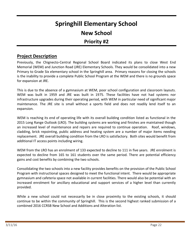## **Springhill Elementary School**

### **New School**

### **Priority #2**

#### **Project Description**

Previously, the Chignecto-Central Regional School Board indicated its plans to close West End Memorial (WEM) and Junction Road (JRE) Elementary Schools. They would be consolidated into a new Primary to Grade Six elementary school in the Springhill area. Primary reasons for closing the schools is the inability to provide a complete Public School Program at the WEM and there is no grounds space for expansion at JRE.

This is due to the absence of a gymnasium at WEM, poor school configuration and classroom layouts. WEM was built in 1959 and JRE was built in 1975. These facilities have not had systems nor infrastructure upgrades during their operating period, with WEM in particular need of significant major maintenance. The JRE site is small without a sports field and does not readily lend itself to an expansion.

WEM is reaching its end of operating life with its overall building condition listed as functional in the 2015 Long Range Outlook (LRO). The building systems are working and finishes are maintained though an increased level of maintenance and repairs are required to continue operation. Roof, windows, cladding, brick repointing, public address and heating system are a number of major items needing replacement. JRE overall building condition from the LRO is satisfactory. Both sites would benefit from additional IT access points including wiring.

WEM from the LRO has an enrolment of 133 expected to decline to 111 in five years. JRE enrolment is expected to decline from 165 to 161 students over the same period. There are potential efficiency gains and cost benefits by combining the two schools.

Consolidating the two schools into a new facility provides benefits on the provision of the Public School Program with instructional spaces designed to meet the functional intent. There would be appropriate gymnasium and cafeteria space not available in current facilities. There would also be potential with an increased enrolment for ancillary educational and support services of a higher level than currently provided.

While a new school could not necessarily be in close proximity to the existing schools, it should continue to be within the community of Springhill. This is the second highest ranked submission of a combined 2016 CCRSB New School and Additions and Alteration list.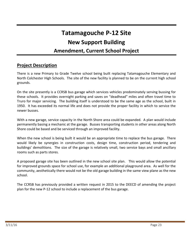## **Tatamagouche P-12 Site New Support Building Amendment, Current School Project**

#### **Project Description**

There is a new Primary to Grade Twelve school being built replacing Tatamagouche Elementary and North Colchester High Schools. The site of the new facility is planned to be on the current high school grounds.

On the site presently is a CCRSB bus garage which services vehicles predominately serving bussing for these schools. It provides overnight parking and saves on "deadhead" miles and often travel time to Truro for major servicing. The building itself is understood to be the same age as the school, built in 1950. It has exceeded its normal life and does not provide the proper facility in which to service the newer busses.

With a new garage, service capacity in the North Shore area could be expanded. A plan would include permanently basing a mechanic at the garage. Busses transporting students in other areas along North Shore could be based and be serviced through an improved facility.

When the new school is being built it would be an appropriate time to replace the bus garage. There would likely be synergies in construction costs, design time, construction period, tendering and buildings' demolitions. The size of the garage is relatively small, two service bays and small ancillary rooms such as parts stores.

A proposed garage site has been outlined in the new school site plan. This would allow the potential for improved grounds space for school use, for example an additional playground area. As well for the community, aesthetically there would not be the old garage building in the same view plane as the new school.

The CCRSB has previously provided a written request in 2015 to the DEECD of amending the project plan for the new P-12 school to include a replacement of the bus garage.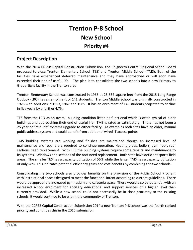## **Trenton P-8 School**

### **New School**

### **Priority #4**

#### **Project Description**

With the 2014 CCRSB Capital Construction Submission, the Chignecto-Central Regional School Board proposed to close Trenton Elementary School (TES) and Trenton Middle School (TMS). Both of the facilities have experienced deferred maintenance and they have approached or will soon have exceeded their end of useful life. The plan is to consolidate the two schools into a new Primary to Grade Eight facility in the Trenton area.

Trenton Elementary School was constructed in 1966 at 25,632 square feet from the 2015 Long Range Outlook (LRO) has an enrolment of 141 students. Trenton Middle School was originally constructed in 1925 with additions in 1953, 1967 and 1985. It has an enrolment of 148 students projected to decline in five years by a further 4.7%.

TES from the LRO as an overall building condition listed as functional which is often typical of older buildings and approaching their end of useful life. TMS is rated as satisfactory. There has not been a 25 year or "mid-life" systems upgrade to either facility. As examples both sites have an older, manual public address system and could benefit from additional wired IT access points.

TMS building systems are working and finishes are maintained though an increased level of maintenance and repairs are required to continue operation. Heating pipes, boilers, gym floor, roof sections need replacement. With TES the building systems require some repairs and maintenance to its systems. Windows and sections of the roof need replacement. Both sites have deficient sports field areas. The smaller TES has a capacity utilization of 56% while the larger TMS has a capacity utilization of only 28%. This indicates potential efficiency gains and cost benefits by combining the two schools.

Consolidating the two schools also provides benefits on the provision of the Public School Program with instructional spaces designed to meet the functional intent according to current guidelines. There would be appropriate increased gymnasium and cafeteria space. There would also be potential with an increased school enrolment for ancillary educational and support services of a higher level than currently provided. While a new school could not necessarily be in close proximity to the existing schools, it would continue to be within the community of Trenton.

With the CCRSB Capital Construction Submission 2014 a new Trenton P-8 school was the fourth ranked priority and continues this in the 2016 submission.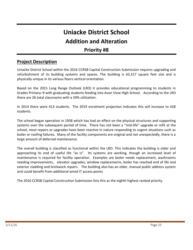## **Uniacke District School Addition and Alteration Priority #8**

#### **Project Description**

Uniacke District School within the 2016 CCRSB Capital Construction Submission requires upgrading and refurbishment of its building systems and spaces. The building is 63,317 square feet size and is physically unique in its various floors vertical orientation.

Based on the 2015 Long Range Outlook (LRO) it provides educational programming to students in Grades Primary–9 with graduating students feeding into Avon View High School. According to the LRO there are 26 total classrooms with a 59% utilization.

In 2014 there were 413 students. The 2019 enrolment projection indicates this will increase to 428 students.

The school began operation in 1958 which has had an effect on the physical structures and supporting systems over the subsequent period of time. There has not been a "mid-life" upgrade or refit at the school, most repairs or upgrades have been reactive in nature responding to urgent situations such as boiler or roofing failures. Many of the facility components are original and not unexpectedly, there is a large amount of deferred maintenance.

The overall building is classified as functional within the LRO. This indicates the building is older and approaching its end of useful life "as is". Its systems are working, though an increased level of maintenance is required for facility operation. Examples are boiler needs replacement, washrooms needing improvements, elevator upgrades, window replacements, boiler has reached end of life and exterior cladding and brickwork repairs. The building also has an older, manual public address system and could benefit from additional wired IT access points

The 2016 CCRSB Capital Construction Submission lists this as the eighth highest ranked priority.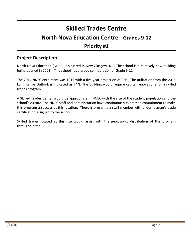## **Skilled Trades Centre North Nova Education Centre - Grades 9-12 Priority #1**

#### **Project Description**

North Nova Education (NNEC) is situated in New Glasgow, N.S. The school is a relatively new building being opened in 2003. This school has a grade configuration of Grade 9-12.

The 2014 NNEC enrolment was 1015 with a five year projection of 956. The utilization from the 2015 Long Range Outlook is indicated as 74%. The building would require capital renovations for a skilled trades program.

A Skilled Trades Center would be appropriate in NNEC with the size of the student population and the school's culture. The NNEC staff and administration have continuously expressed commitment to make this program a success at this location. There is presently a staff member with a journeyman's trade certification assigned to the school.

Skilled trades located at this site would assist with the geographic distribution of this program throughout the CCRSB.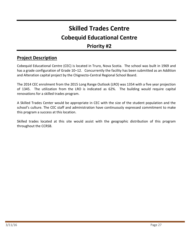## **Skilled Trades Centre Cobequid Educational Centre Priority #2**

#### **Project Description**

Cobequid Educational Centre (CEC) is located in Truro, Nova Scotia. The school was built in 1969 and has a grade configuration of Grade 10–12. Concurrently the facility has been submitted as an Addition and Alteration capital project by the Chignecto-Central Regional School Board.

The 2014 CEC enrolment from the 2015 Long Range Outlook (LRO) was 1354 with a five year projection of 1345. The utilization from the LRO is indicated as 62%. The building would require capital renovations for a skilled trades program.

A Skilled Trades Center would be appropriate in CEC with the size of the student population and the school's culture. The CEC staff and administration have continuously expressed commitment to make this program a success at this location.

Skilled trades located at this site would assist with the geographic distribution of this program throughout the CCRSB.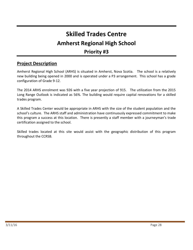## **Skilled Trades Centre Amherst Regional High School Priority #3**

#### **Project Description**

Amherst Regional High School (ARHS) is situated in Amherst, Nova Scotia. The school is a relatively new building being opened in 2000 and is operated under a P3 arrangement. This school has a grade configuration of Grade 9-12.

The 2014 ARHS enrolment was 926 with a five year projection of 915. The utilization from the 2015 Long Range Outlook is indicated as 56%. The building would require capital renovations for a skilled trades program.

A Skilled Trades Center would be appropriate in ARHS with the size of the student population and the school's culture. The ARHS staff and administration have continuously expressed commitment to make this program a success at this location. There is presently a staff member with a journeyman's trade certification assigned to the school.

Skilled trades located at this site would assist with the geographic distribution of this program throughout the CCRSB.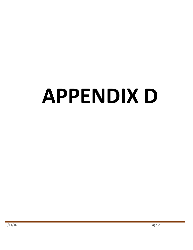# **APPENDIX D**